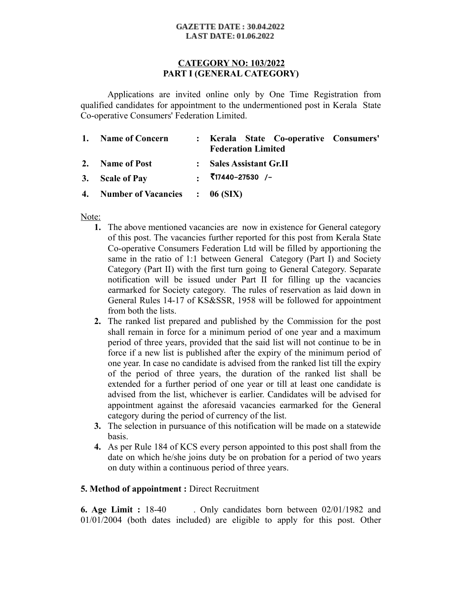#### **GAZETTE DATE: 30.04.2022 LAST DATE: 01.06.2022**

## **CATEGORY NO: 103/2022 PART I (GENERAL CATEGORY)**

Applications are invited online only by One Time Registration from qualified candidates for appointment to the undermentioned post in Kerala State Co-operative Consumers' Federation Limited.

| 1. Name of Concern                | : Kerala State Co-operative Consumers'<br><b>Federation Limited</b> |  |
|-----------------------------------|---------------------------------------------------------------------|--|
| 2. Name of Post                   | : Sales Assistant Gr.II                                             |  |
| 3. Scale of Pay                   |                                                                     |  |
| 4. Number of Vacancies : 06 (SIX) |                                                                     |  |

Note:

- **1.** The above mentioned vacancies are now in existence for General category of this post. The vacancies further reported for this post from Kerala State Co-operative Consumers Federation Ltd will be filled by apportioning the same in the ratio of 1:1 between General Category (Part I) and Society Category (Part II) with the first turn going to General Category. Separate notification will be issued under Part II for filling up the vacancies earmarked for Society category. The rules of reservation as laid down in General Rules 14-17 of KS&SSR, 1958 will be followed for appointment from both the lists.
- **2.** The ranked list prepared and published by the Commission for the post shall remain in force for a minimum period of one year and a maximum period of three years, provided that the said list will not continue to be in force if a new list is published after the expiry of the minimum period of one year. In case no candidate is advised from the ranked list till the expiry of the period of three years, the duration of the ranked list shall be extended for a further period of one year or till at least one candidate is advised from the list, whichever is earlier. Candidates will be advised for appointment against the aforesaid vacancies earmarked for the General category during the period of currency of the list.
- **3.** The selection in pursuance of this notification will be made on a statewide basis.
- **4.** As per Rule 184 of KCS every person appointed to this post shall from the date on which he/she joins duty be on probation for a period of two years on duty within a continuous period of three years.

# **5. Method of appointment :** Direct Recruitment

**6. Age Limit :** 18-40 . Only candidates born between 02/01/1982 and 01/01/2004 (both dates included) are eligible to apply for this post. Other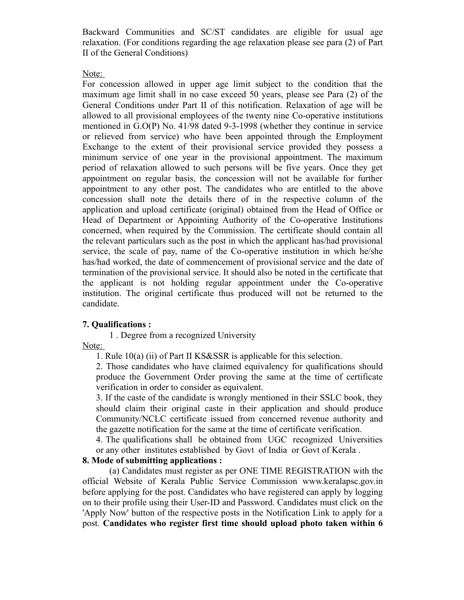Backward Communities and SC/ST candidates are eligible for usual age relaxation. (For conditions regarding the age relaxation please see para (2) of Part II of the General Conditions)

#### Note:

For concession allowed in upper age limit subject to the condition that the maximum age limit shall in no case exceed 50 years, please see Para (2) of the General Conditions under Part II of this notification. Relaxation of age will be allowed to all provisional employees of the twenty nine Co-operative institutions mentioned in G.O(P) No. 41/98 dated 9-3-1998 (whether they continue in service or relieved from service) who have been appointed through the Employment Exchange to the extent of their provisional service provided they possess a minimum service of one year in the provisional appointment. The maximum period of relaxation allowed to such persons will be five years. Once they get appointment on regular basis, the concession will not be available for further appointment to any other post. The candidates who are entitled to the above concession shall note the details there of in the respective column of the application and upload certificate (original) obtained from the Head of Office or Head of Department or Appointing Authority of the Co-operative Institutions concerned, when required by the Commission. The certificate should contain all the relevant particulars such as the post in which the applicant has/had provisional service, the scale of pay, name of the Co-operative institution in which he/she has/had worked, the date of commencement of provisional service and the date of termination of the provisional service. It should also be noted in the certificate that the applicant is not holding regular appointment under the Co-operative institution. The original certificate thus produced will not be returned to the candidate.

### **7. Qualifications :**

1 . Degree from a recognized University

Note:

1. Rule 10(a) (ii) of Part II KS&SSR is applicable for this selection.

2. Those candidates who have claimed equivalency for qualifications should produce the Government Order proving the same at the time of certificate verification in order to consider as equivalent.

3. If the caste of the candidate is wrongly mentioned in their SSLC book, they should claim their original caste in their application and should produce Community/NCLC certificate issued from concerned revenue authority and the gazette notification for the same at the time of certificate verification.

4. The qualifications shall be obtained from UGC recognized Universities or any other institutes established by Govt of India or Govt of Kerala .

### **8. Mode of submitting applications :**

(a) Candidates must register as per ONE TIME REGISTRATION with the official Website of Kerala Public Service Commission www.keralapsc.gov.in before applying for the post. Candidates who have registered can apply by logging on to their profile using their User-ID and Password. Candidates must click on the 'Apply Now' button of the respective posts in the Notification Link to apply for a post. **Candidates who register first time should upload photo taken within 6**